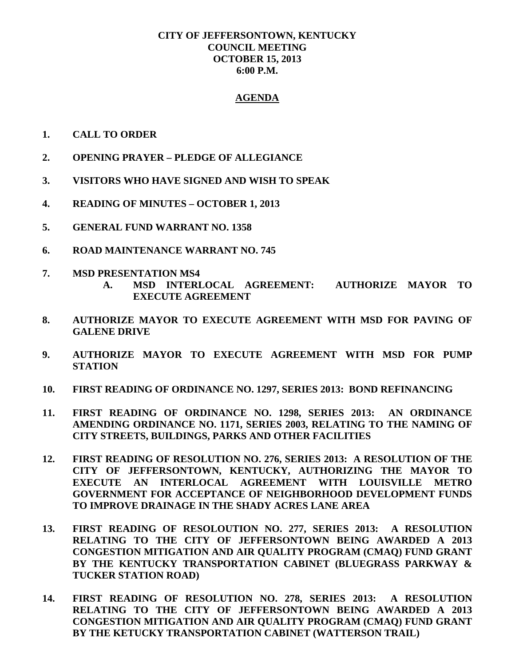## **CITY OF JEFFERSONTOWN, KENTUCKY COUNCIL MEETING OCTOBER 15, 2013 6:00 P.M.**

## **AGENDA**

- **1. CALL TO ORDER**
- **2. OPENING PRAYER – PLEDGE OF ALLEGIANCE**
- **3. VISITORS WHO HAVE SIGNED AND WISH TO SPEAK**
- **4. READING OF MINUTES – OCTOBER 1, 2013**
- **5. GENERAL FUND WARRANT NO. 1358**
- **6. ROAD MAINTENANCE WARRANT NO. 745**
- **7. MSD PRESENTATION MS4**
	- **A. MSD INTERLOCAL AGREEMENT: AUTHORIZE MAYOR TO EXECUTE AGREEMENT**
- **8. AUTHORIZE MAYOR TO EXECUTE AGREEMENT WITH MSD FOR PAVING OF GALENE DRIVE**
- **9. AUTHORIZE MAYOR TO EXECUTE AGREEMENT WITH MSD FOR PUMP STATION**
- **10. FIRST READING OF ORDINANCE NO. 1297, SERIES 2013: BOND REFINANCING**
- **11. FIRST READING OF ORDINANCE NO. 1298, SERIES 2013: AN ORDINANCE AMENDING ORDINANCE NO. 1171, SERIES 2003, RELATING TO THE NAMING OF CITY STREETS, BUILDINGS, PARKS AND OTHER FACILITIES**
- **12. FIRST READING OF RESOLUTION NO. 276, SERIES 2013: A RESOLUTION OF THE CITY OF JEFFERSONTOWN, KENTUCKY, AUTHORIZING THE MAYOR TO EXECUTE AN INTERLOCAL AGREEMENT WITH LOUISVILLE METRO GOVERNMENT FOR ACCEPTANCE OF NEIGHBORHOOD DEVELOPMENT FUNDS TO IMPROVE DRAINAGE IN THE SHADY ACRES LANE AREA**
- **13. FIRST READING OF RESOLOUTION NO. 277, SERIES 2013: A RESOLUTION RELATING TO THE CITY OF JEFFERSONTOWN BEING AWARDED A 2013 CONGESTION MITIGATION AND AIR QUALITY PROGRAM (CMAQ) FUND GRANT BY THE KENTUCKY TRANSPORTATION CABINET (BLUEGRASS PARKWAY & TUCKER STATION ROAD)**
- **14. FIRST READING OF RESOLUTION NO. 278, SERIES 2013: A RESOLUTION RELATING TO THE CITY OF JEFFERSONTOWN BEING AWARDED A 2013 CONGESTION MITIGATION AND AIR QUALITY PROGRAM (CMAQ) FUND GRANT BY THE KETUCKY TRANSPORTATION CABINET (WATTERSON TRAIL)**